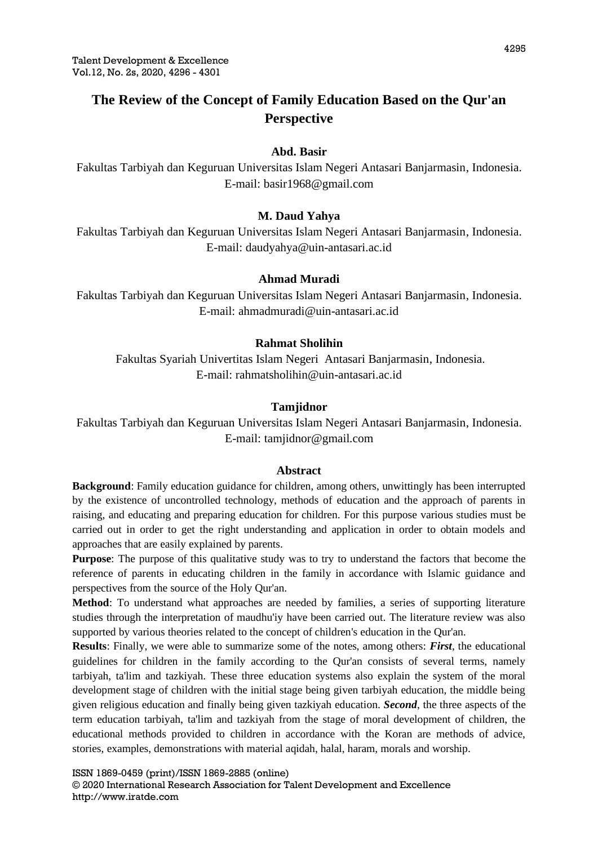# **The Review of the Concept of Family Education Based on the Qur'an Perspective**

# **Abd. Basir**

Fakultas Tarbiyah dan Keguruan Universitas Islam Negeri Antasari Banjarmasin, Indonesia. E-mail: [basir1968@gmail.com](mailto:basir1968@gmail.com)

# **M. Daud Yahya**

Fakultas Tarbiyah dan Keguruan Universitas Islam Negeri Antasari Banjarmasin, Indonesia. E-mail: [daudyahya@uin-antasari.ac.id](mailto:daudyahya@uin-antasari.ac.id)

## **Ahmad Muradi**

Fakultas Tarbiyah dan Keguruan Universitas Islam Negeri Antasari Banjarmasin, Indonesia. E-mail: [ahmadmuradi@uin-antasari.ac.id](mailto:ahmadmuradi@uin-antasari.ac.id)

## **Rahmat Sholihin**

Fakultas Syariah Univertitas Islam Negeri Antasari Banjarmasin, Indonesia. E-mail: [rahmatsholihin@uin-antasari.ac.id](mailto:rahmatsholihin@uin-antasari.ac.id)

## **Tamjidnor**

Fakultas Tarbiyah dan Keguruan Universitas Islam Negeri Antasari Banjarmasin, Indonesia. E-mail: [tamjidnor@gmail.com](mailto:tamjidnor@gmail.com)

#### **Abstract**

**Background**: Family education guidance for children, among others, unwittingly has been interrupted by the existence of uncontrolled technology, methods of education and the approach of parents in raising, and educating and preparing education for children. For this purpose various studies must be carried out in order to get the right understanding and application in order to obtain models and approaches that are easily explained by parents.

**Purpose**: The purpose of this qualitative study was to try to understand the factors that become the reference of parents in educating children in the family in accordance with Islamic guidance and perspectives from the source of the Holy Qur'an.

**Method**: To understand what approaches are needed by families, a series of supporting literature studies through the interpretation of maudhu'iy have been carried out. The literature review was also supported by various theories related to the concept of children's education in the Qur'an.

**Results**: Finally, we were able to summarize some of the notes, among others: *First*, the educational guidelines for children in the family according to the Qur'an consists of several terms, namely tarbiyah, ta'lim and tazkiyah. These three education systems also explain the system of the moral development stage of children with the initial stage being given tarbiyah education, the middle being given religious education and finally being given tazkiyah education. *Second*, the three aspects of the term education tarbiyah, ta'lim and tazkiyah from the stage of moral development of children, the educational methods provided to children in accordance with the Koran are methods of advice, stories, examples, demonstrations with material aqidah, halal, haram, morals and worship.

ISSN 1869-0459 (print)/ISSN 1869-2885 (online) © 2020 International Research Association for Talent Development and Excellence http://www.iratde.com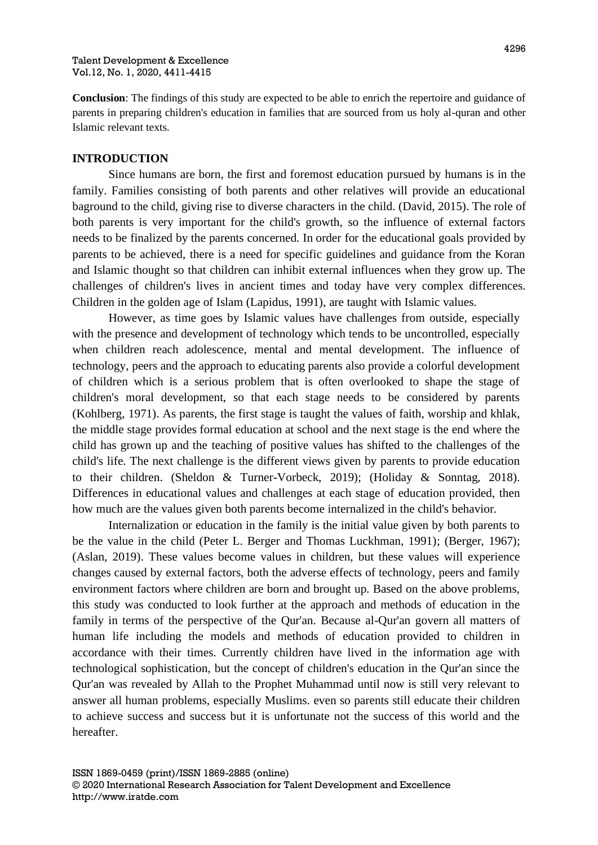**Conclusion**: The findings of this study are expected to be able to enrich the repertoire and guidance of parents in preparing children's education in families that are sourced from us holy al-quran and other Islamic relevant texts.

# **INTRODUCTION**

Since humans are born, the first and foremost education pursued by humans is in the family. Families consisting of both parents and other relatives will provide an educational baground to the child, giving rise to diverse characters in the child. (David, 2015). The role of both parents is very important for the child's growth, so the influence of external factors needs to be finalized by the parents concerned. In order for the educational goals provided by parents to be achieved, there is a need for specific guidelines and guidance from the Koran and Islamic thought so that children can inhibit external influences when they grow up. The challenges of children's lives in ancient times and today have very complex differences. Children in the golden age of Islam (Lapidus, 1991), are taught with Islamic values.

However, as time goes by Islamic values have challenges from outside, especially with the presence and development of technology which tends to be uncontrolled, especially when children reach adolescence, mental and mental development. The influence of technology, peers and the approach to educating parents also provide a colorful development of children which is a serious problem that is often overlooked to shape the stage of children's moral development, so that each stage needs to be considered by parents (Kohlberg, 1971). As parents, the first stage is taught the values of faith, worship and khlak, the middle stage provides formal education at school and the next stage is the end where the child has grown up and the teaching of positive values has shifted to the challenges of the child's life. The next challenge is the different views given by parents to provide education to their children. (Sheldon & Turner-Vorbeck, 2019); (Holiday & Sonntag, 2018). Differences in educational values and challenges at each stage of education provided, then how much are the values given both parents become internalized in the child's behavior.

Internalization or education in the family is the initial value given by both parents to be the value in the child (Peter L. Berger and Thomas Luckhman, 1991); (Berger, 1967); (Aslan, 2019). These values become values in children, but these values will experience changes caused by external factors, both the adverse effects of technology, peers and family environment factors where children are born and brought up. Based on the above problems, this study was conducted to look further at the approach and methods of education in the family in terms of the perspective of the Qur'an. Because al-Qur'an govern all matters of human life including the models and methods of education provided to children in accordance with their times. Currently children have lived in the information age with technological sophistication, but the concept of children's education in the Qur'an since the Qur'an was revealed by Allah to the Prophet Muhammad until now is still very relevant to answer all human problems, especially Muslims. even so parents still educate their children to achieve success and success but it is unfortunate not the success of this world and the hereafter.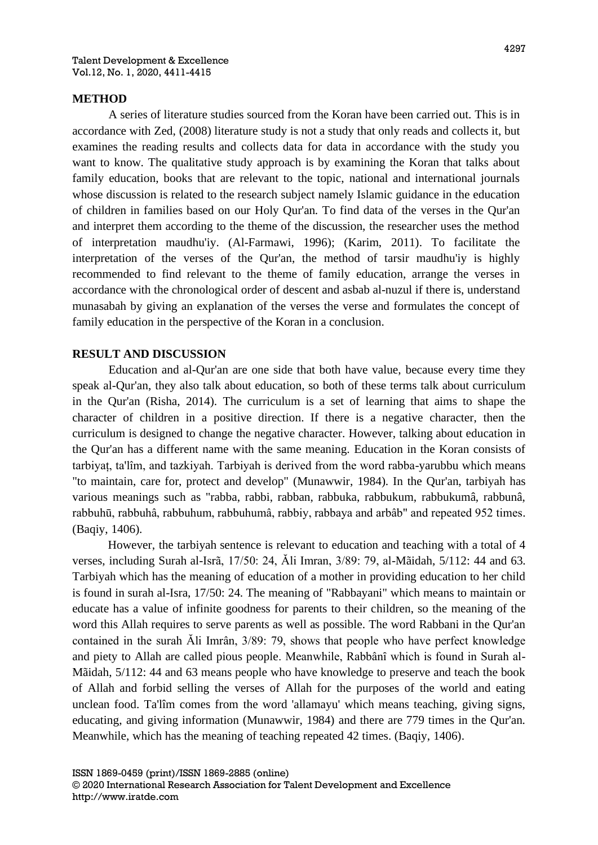## **METHOD**

A series of literature studies sourced from the Koran have been carried out. This is in accordance with Zed, (2008) literature study is not a study that only reads and collects it, but examines the reading results and collects data for data in accordance with the study you want to know. The qualitative study approach is by examining the Koran that talks about family education, books that are relevant to the topic, national and international journals whose discussion is related to the research subject namely Islamic guidance in the education of children in families based on our Holy Qur'an. To find data of the verses in the Qur'an and interpret them according to the theme of the discussion, the researcher uses the method of interpretation maudhu'iy. (Al-Farmawi, 1996); (Karim, 2011). To facilitate the interpretation of the verses of the Qur'an, the method of tarsir maudhu'iy is highly recommended to find relevant to the theme of family education, arrange the verses in accordance with the chronological order of descent and asbab al-nuzul if there is, understand munasabah by giving an explanation of the verses the verse and formulates the concept of family education in the perspective of the Koran in a conclusion.

## **RESULT AND DISCUSSION**

Education and al-Qur'an are one side that both have value, because every time they speak al-Qur'an, they also talk about education, so both of these terms talk about curriculum in the Qur'an (Risha, 2014). The curriculum is a set of learning that aims to shape the character of children in a positive direction. If there is a negative character, then the curriculum is designed to change the negative character. However, talking about education in the Qur'an has a different name with the same meaning. Education in the Koran consists of tarbiyaț, ta'lîm, and tazkiyah. Tarbiyah is derived from the word rabba-yarubbu which means "to maintain, care for, protect and develop" (Munawwir, 1984). In the Qur'an, tarbiyah has various meanings such as "rabba, rabbi, rabban, rabbuka, rabbukum, rabbukumâ, rabbunâ, rabbuhū, rabbuhâ, rabbuhum, rabbuhumâ, rabbiy, rabbaya and arbâb" and repeated 952 times. (Baqiy, 1406).

However, the tarbiyah sentence is relevant to education and teaching with a total of 4 verses, including Surah al-Isrã, 17/50: 24, Ăli Imran, 3/89: 79, al-Mãidah, 5/112: 44 and 63. Tarbiyah which has the meaning of education of a mother in providing education to her child is found in surah al-Isra, 17/50: 24. The meaning of "Rabbayani" which means to maintain or educate has a value of infinite goodness for parents to their children, so the meaning of the word this Allah requires to serve parents as well as possible. The word Rabbani in the Qur'an contained in the surah Ăli Imrân, 3/89: 79, shows that people who have perfect knowledge and piety to Allah are called pious people. Meanwhile, Rabbânî which is found in Surah al-Mãidah, 5/112: 44 and 63 means people who have knowledge to preserve and teach the book of Allah and forbid selling the verses of Allah for the purposes of the world and eating unclean food. Ta'lîm comes from the word 'allamayu' which means teaching, giving signs, educating, and giving information (Munawwir, 1984) and there are 779 times in the Qur'an. Meanwhile, which has the meaning of teaching repeated 42 times. (Baqiy, 1406).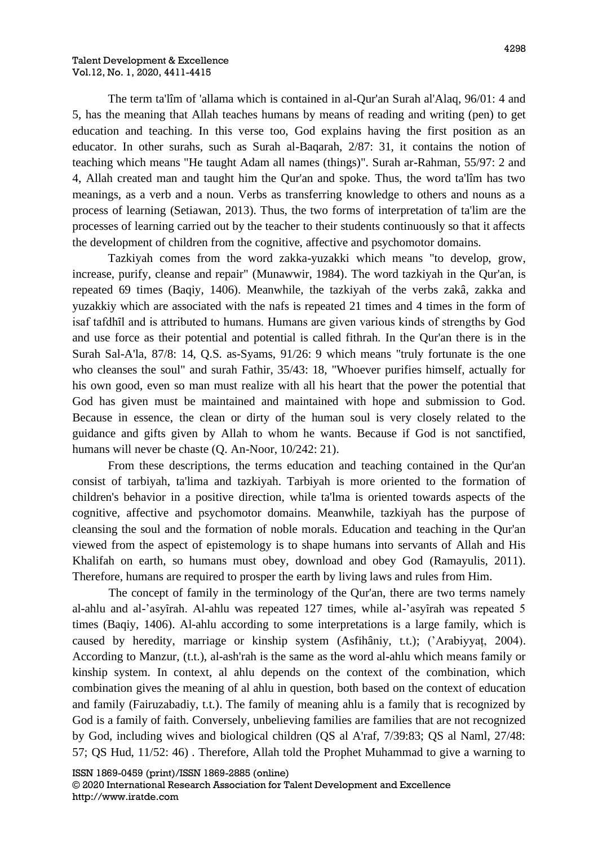The term ta'lîm of 'allama which is contained in al-Qur'an Surah al'Alaq, 96/01: 4 and 5, has the meaning that Allah teaches humans by means of reading and writing (pen) to get education and teaching. In this verse too, God explains having the first position as an educator. In other surahs, such as Surah al-Baqarah, 2/87: 31, it contains the notion of teaching which means "He taught Adam all names (things)". Surah ar-Rahman, 55/97: 2 and 4, Allah created man and taught him the Qur'an and spoke. Thus, the word ta'lîm has two meanings, as a verb and a noun. Verbs as transferring knowledge to others and nouns as a process of learning (Setiawan, 2013). Thus, the two forms of interpretation of ta'lim are the processes of learning carried out by the teacher to their students continuously so that it affects the development of children from the cognitive, affective and psychomotor domains.

Tazkiyah comes from the word zakka-yuzakki which means "to develop, grow, increase, purify, cleanse and repair" (Munawwir, 1984). The word tazkiyah in the Qur'an, is repeated 69 times (Baqiy, 1406). Meanwhile, the tazkiyah of the verbs zakâ, zakka and yuzakkiy which are associated with the nafs is repeated 21 times and 4 times in the form of isaf tafdhîl and is attributed to humans. Humans are given various kinds of strengths by God and use force as their potential and potential is called fithrah. In the Qur'an there is in the Surah Sal-A'la, 87/8: 14, Q.S. as-Syams, 91/26: 9 which means "truly fortunate is the one who cleanses the soul" and surah Fathir, 35/43: 18, "Whoever purifies himself, actually for his own good, even so man must realize with all his heart that the power the potential that God has given must be maintained and maintained with hope and submission to God. Because in essence, the clean or dirty of the human soul is very closely related to the guidance and gifts given by Allah to whom he wants. Because if God is not sanctified, humans will never be chaste (Q. An-Noor, 10/242: 21).

From these descriptions, the terms education and teaching contained in the Qur'an consist of tarbiyah, ta'lima and tazkiyah. Tarbiyah is more oriented to the formation of children's behavior in a positive direction, while ta'lma is oriented towards aspects of the cognitive, affective and psychomotor domains. Meanwhile, tazkiyah has the purpose of cleansing the soul and the formation of noble morals. Education and teaching in the Qur'an viewed from the aspect of epistemology is to shape humans into servants of Allah and His Khalifah on earth, so humans must obey, download and obey God (Ramayulis, 2011). Therefore, humans are required to prosper the earth by living laws and rules from Him.

The concept of family in the terminology of the Qur'an, there are two terms namely al-ahlu and al-'asyȋrah. Al-ahlu was repeated 127 times, while al-'asyȋrah was repeated 5 times (Baqiy, 1406). Al-ahlu according to some interpretations is a large family, which is caused by heredity, marriage or kinship system (Asfihâniy, t.t.); ('Arabiyyaț, 2004). According to Manzur, (t.t.), al-ash'rah is the same as the word al-ahlu which means family or kinship system. In context, al ahlu depends on the context of the combination, which combination gives the meaning of al ahlu in question, both based on the context of education and family (Fairuzabadiy, t.t.). The family of meaning ahlu is a family that is recognized by God is a family of faith. Conversely, unbelieving families are families that are not recognized by God, including wives and biological children (QS al A'raf, 7/39:83; QS al Naml, 27/48: 57; QS Hud, 11/52: 46) . Therefore, Allah told the Prophet Muhammad to give a warning to

ISSN 1869-0459 (print)/ISSN 1869-2885 (online)

© 2020 International Research Association for Talent Development and Excellence http://www.iratde.com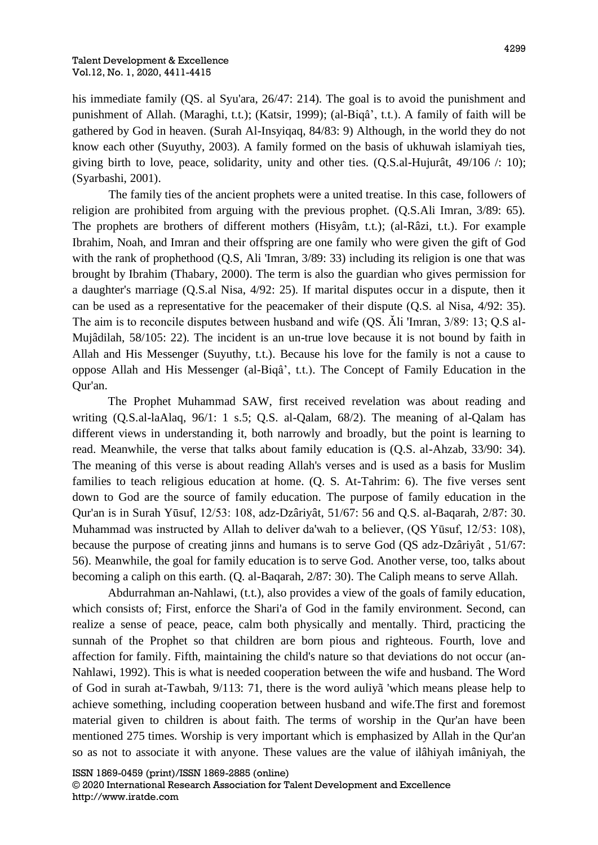his immediate family (QS. al Syu'ara, 26/47: 214). The goal is to avoid the punishment and punishment of Allah. (Maraghi, t.t.); (Katsir, 1999); (al-Biqâ', t.t.). A family of faith will be gathered by God in heaven. (Surah Al-Insyiqaq, 84/83: 9) Although, in the world they do not know each other (Suyuthy, 2003). A family formed on the basis of ukhuwah islamiyah ties, giving birth to love, peace, solidarity, unity and other ties. (Q.S.al-Hujurât, 49/106 /: 10); (Syarbashi, 2001).

The family ties of the ancient prophets were a united treatise. In this case, followers of religion are prohibited from arguing with the previous prophet. (Q.S.Ali Imran, 3/89: 65). The prophets are brothers of different mothers (Hisyâm, t.t.); (al-Râzi, t.t.). For example Ibrahim, Noah, and Imran and their offspring are one family who were given the gift of God with the rank of prophethood (Q.S, Ali 'Imran,  $3/89: 33$ ) including its religion is one that was brought by Ibrahim (Thabary, 2000). The term is also the guardian who gives permission for a daughter's marriage (Q.S.al Nisa, 4/92: 25). If marital disputes occur in a dispute, then it can be used as a representative for the peacemaker of their dispute (Q.S. al Nisa, 4/92: 35). The aim is to reconcile disputes between husband and wife (QS. Ăli 'Imran, 3/89: 13; Q.S al-Mujâdilah, 58/105: 22). The incident is an un-true love because it is not bound by faith in Allah and His Messenger (Suyuthy, t.t.). Because his love for the family is not a cause to oppose Allah and His Messenger (al-Biqâ', t.t.). The Concept of Family Education in the Qur'an.

The Prophet Muhammad SAW, first received revelation was about reading and writing (Q.S.al-laAlaq, 96/1: 1 s.5; Q.S. al-Qalam, 68/2). The meaning of al-Qalam has different views in understanding it, both narrowly and broadly, but the point is learning to read. Meanwhile, the verse that talks about family education is (Q.S. al-Ahzab, 33/90: 34). The meaning of this verse is about reading Allah's verses and is used as a basis for Muslim families to teach religious education at home. (Q. S. At-Tahrim: 6). The five verses sent down to God are the source of family education. The purpose of family education in the Qur'an is in Surah Yūsuf, 12/53: 108, adz-Dzâriyât, 51/67: 56 and Q.S. al-Baqarah, 2/87: 30. Muhammad was instructed by Allah to deliver da'wah to a believer, (QS Yūsuf, 12/53: 108), because the purpose of creating jinns and humans is to serve God (QS adz-Dzâriyât , 51/67: 56). Meanwhile, the goal for family education is to serve God. Another verse, too, talks about becoming a caliph on this earth. (Q. al-Baqarah, 2/87: 30). The Caliph means to serve Allah.

Abdurrahman an-Nahlawi, (t.t.), also provides a view of the goals of family education, which consists of; First, enforce the Shari'a of God in the family environment. Second, can realize a sense of peace, peace, calm both physically and mentally. Third, practicing the sunnah of the Prophet so that children are born pious and righteous. Fourth, love and affection for family. Fifth, maintaining the child's nature so that deviations do not occur (an-Nahlawi, 1992). This is what is needed cooperation between the wife and husband. The Word of God in surah at-Tawbah, 9/113: 71, there is the word auliyã 'which means please help to achieve something, including cooperation between husband and wife.The first and foremost material given to children is about faith. The terms of worship in the Qur'an have been mentioned 275 times. Worship is very important which is emphasized by Allah in the Qur'an so as not to associate it with anyone. These values are the value of ilâhiyah imâniyah, the

ISSN 1869-0459 (print)/ISSN 1869-2885 (online) © 2020 International Research Association for Talent Development and Excellence http://www.iratde.com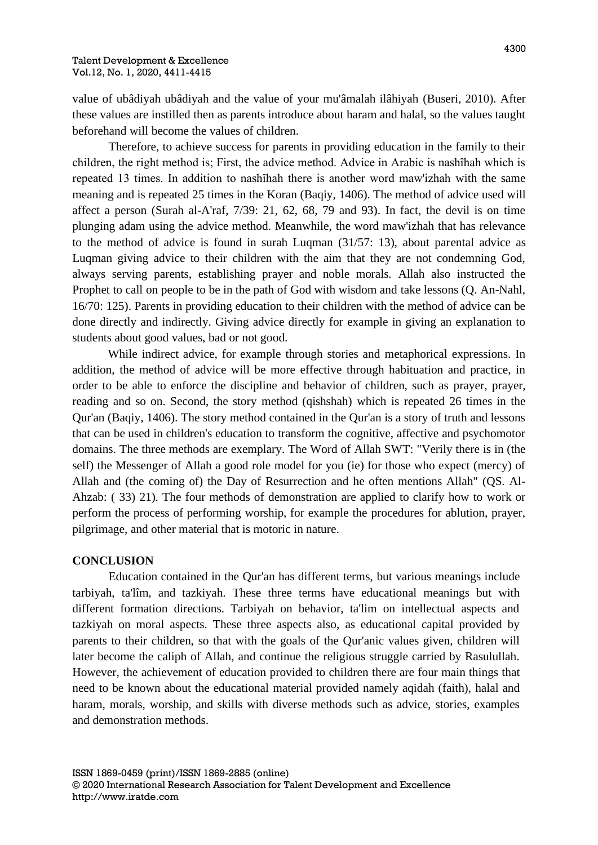value of ubâdiyah ubâdiyah and the value of your mu'âmalah ilâhiyah (Buseri, 2010). After these values are instilled then as parents introduce about haram and halal, so the values taught beforehand will become the values of children.

Therefore, to achieve success for parents in providing education in the family to their children, the right method is; First, the advice method. Advice in Arabic is nashȋhah which is repeated 13 times. In addition to nashîhah there is another word maw'izhah with the same meaning and is repeated 25 times in the Koran (Baqiy, 1406). The method of advice used will affect a person (Surah al-A'raf, 7/39: 21, 62, 68, 79 and 93). In fact, the devil is on time plunging adam using the advice method. Meanwhile, the word maw'izhah that has relevance to the method of advice is found in surah Luqman (31/57: 13), about parental advice as Luqman giving advice to their children with the aim that they are not condemning God, always serving parents, establishing prayer and noble morals. Allah also instructed the Prophet to call on people to be in the path of God with wisdom and take lessons (Q. An-Nahl, 16/70: 125). Parents in providing education to their children with the method of advice can be done directly and indirectly. Giving advice directly for example in giving an explanation to students about good values, bad or not good.

While indirect advice, for example through stories and metaphorical expressions. In addition, the method of advice will be more effective through habituation and practice, in order to be able to enforce the discipline and behavior of children, such as prayer, prayer, reading and so on. Second, the story method (qishshah) which is repeated 26 times in the Qur'an (Baqiy, 1406). The story method contained in the Qur'an is a story of truth and lessons that can be used in children's education to transform the cognitive, affective and psychomotor domains. The three methods are exemplary. The Word of Allah SWT: "Verily there is in (the self) the Messenger of Allah a good role model for you (ie) for those who expect (mercy) of Allah and (the coming of) the Day of Resurrection and he often mentions Allah" (QS. Al-Ahzab: ( 33) 21). The four methods of demonstration are applied to clarify how to work or perform the process of performing worship, for example the procedures for ablution, prayer, pilgrimage, and other material that is motoric in nature.

## **CONCLUSION**

Education contained in the Qur'an has different terms, but various meanings include tarbiyah, ta'lîm, and tazkiyah. These three terms have educational meanings but with different formation directions. Tarbiyah on behavior, ta'lim on intellectual aspects and tazkiyah on moral aspects. These three aspects also, as educational capital provided by parents to their children, so that with the goals of the Qur'anic values given, children will later become the caliph of Allah, and continue the religious struggle carried by Rasulullah. However, the achievement of education provided to children there are four main things that need to be known about the educational material provided namely aqidah (faith), halal and haram, morals, worship, and skills with diverse methods such as advice, stories, examples and demonstration methods.